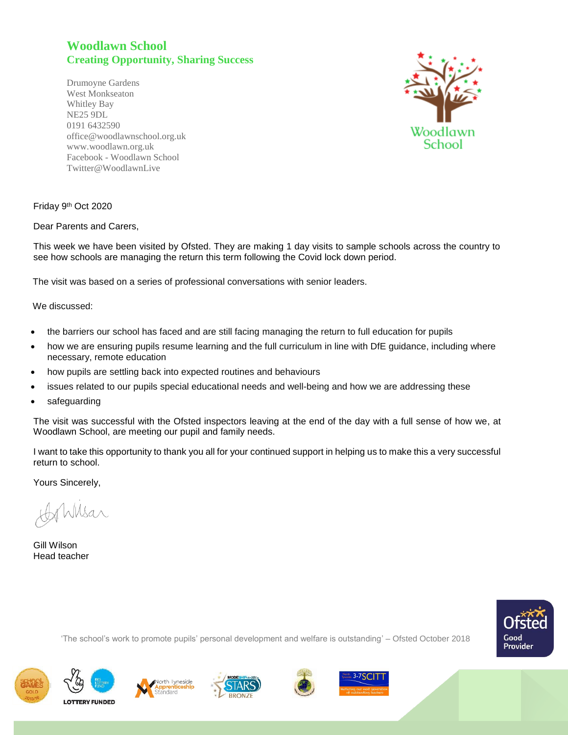## **Woodlawn School Creating Opportunity, Sharing Success**

Drumoyne Gardens West Monkseaton Whitley Bay NE25 9DL 0191 6432590 office@woodlawnschool.org.uk [www.woodlawn.](http://www.woodlawn/)org.uk Facebook - Woodlawn School Twitter@WoodlawnLive



Friday 9<sup>th</sup> Oct 2020

Dear Parents and Carers,

This week we have been visited by Ofsted. They are making 1 day visits to sample schools across the country to see how schools are managing the return this term following the Covid lock down period.

The visit was based on a series of professional conversations with senior leaders.

We discussed:

- the barriers our school has faced and are still facing managing the return to full education for pupils
- how we are ensuring pupils resume learning and the full curriculum in line with DfE guidance, including where necessary, remote education
- how pupils are settling back into expected routines and behaviours
- issues related to our pupils special educational needs and well-being and how we are addressing these
- safeguarding

The visit was successful with the Ofsted inspectors leaving at the end of the day with a full sense of how we, at Woodlawn School, are meeting our pupil and family needs.

I want to take this opportunity to thank you all for your continued support in helping us to make this a very successful return to school.

Yours Sincerely,

Wilsar

Gill Wilson Head teacher



'The school's work to promote pupils' personal development and welfare is outstanding' – Ofsted October 2018